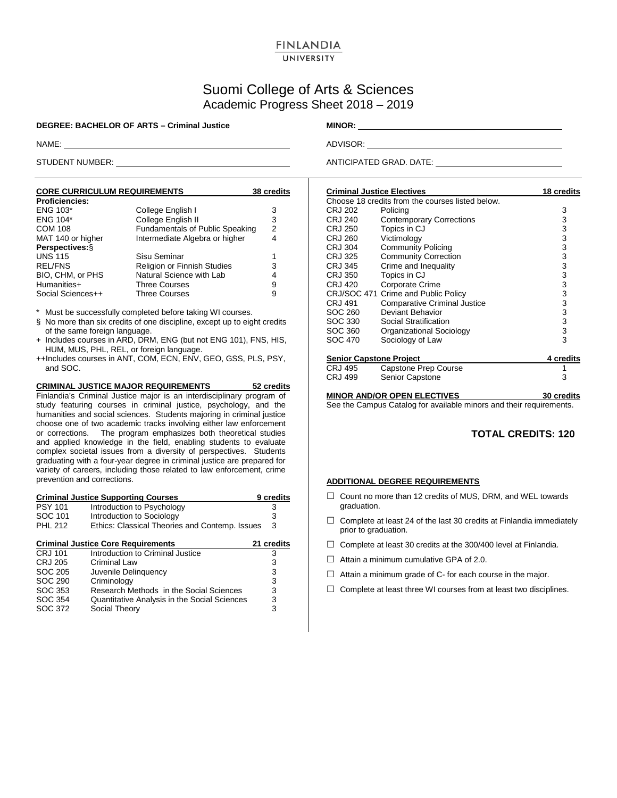### **FINLANDIA** UNIVERSITY

# Suomi College of Arts & Sciences Academic Progress Sheet 2018 – 2019

**DEGREE: BACHELOR OF ARTS – Criminal Justice MINOR:** \_\_\_\_\_\_\_\_\_\_\_\_\_

| <b>CORE CURRICULUM REQUIREMENTS</b> |                                        | 38 credits |
|-------------------------------------|----------------------------------------|------------|
| <b>Proficiencies:</b>               |                                        |            |
| <b>ENG 103*</b>                     | College English I                      | 3          |
| <b>ENG 104*</b>                     | College English II                     | 3          |
| <b>COM 108</b>                      | <b>Fundamentals of Public Speaking</b> | 2          |
| MAT 140 or higher                   | Intermediate Algebra or higher         | 4          |
| Perspectives: §                     |                                        |            |
| <b>UNS 115</b>                      | Sisu Seminar                           | 1          |
| <b>REL/FNS</b>                      | Religion or Finnish Studies            | 3          |
| BIO, CHM, or PHS                    | Natural Science with Lab               | 4          |
| Humanities+                         | <b>Three Courses</b>                   | 9          |
| Social Sciences++                   | Three Courses                          | 9          |

\* Must be successfully completed before taking WI courses.

- § No more than six credits of one discipline, except up to eight credits of the same foreign language.
- + Includes courses in ARD, DRM, ENG (but not ENG 101), FNS, HIS, HUM, MUS, PHL, REL, or foreign language.
- ++Includes courses in ANT, COM, ECN, ENV, GEO, GSS, PLS, PSY, and SOC.

**CRIMINAL JUSTICE MAJOR REQUIREMENTS 52 credits** Finlandia's Criminal Justice major is an interdisciplinary program of study featuring courses in criminal justice, psychology, and the humanities and social sciences. Students majoring in criminal justice choose one of two academic tracks involving either law enforcement or corrections. The program emphasizes both theoretical studies and applied knowledge in the field, enabling students to evaluate complex societal issues from a diversity of perspectives. Students graduating with a four-year degree in criminal justice are prepared for variety of careers, including those related to law enforcement, crime prevention and corrections.

|                | <b>Criminal Justice Supporting Courses</b>     | 9 credits  |
|----------------|------------------------------------------------|------------|
| <b>PSY 101</b> | Introduction to Psychology                     | 3          |
| SOC 101        | Introduction to Sociology                      | 3          |
| <b>PHL 212</b> | Ethics: Classical Theories and Contemp. Issues | 3          |
|                | <b>Criminal Justice Core Requirements</b>      | 21 credits |
| <b>CRJ 101</b> | Introduction to Criminal Justice               | 3          |
| <b>CRJ 205</b> | Criminal Law                                   | 3          |
| SOC 205        | Juvenile Delinguency                           | 3          |
| SOC 290        | Criminology                                    | 3          |
| SOC 353        | Research Methods in the Social Sciences        | 3          |
| SOC 354        | Quantitative Analysis in the Social Sciences   | 3          |
| SOC 372        | Social Theory                                  | 3          |
|                |                                                |            |

NAME: ADVISOR: ADVISOR: ADVISOR: ADVISOR: ADVISOR: ADVISOR: ADVISOR: ADVISOR: ADVISOR: ADVISOR: ADVISOR: ADVISOR: ADVISOR: ADVISOR: ADVISOR: ADVISOR: ADVISOR: ADVISOR: ADVISOR: ADVISOR: ADVISOR: ADVISOR: ADVISOR: ADVISOR:

STUDENT NUMBER: ANTICIPATED GRAD. DATE:

| <b>Criminal Justice Electives</b> |                                                  | 18 credits |
|-----------------------------------|--------------------------------------------------|------------|
|                                   | Choose 18 credits from the courses listed below. |            |
| CRJ 202                           | Policing                                         | 3          |
| <b>CRJ 240</b>                    | <b>Contemporary Corrections</b>                  | 3          |
| CRJ 250                           | Topics in CJ                                     | 3          |
| CRJ 260                           | Victimology                                      | 3          |
| <b>CRJ 304</b>                    | <b>Community Policing</b>                        | 3          |
| CRJ 325                           | <b>Community Correction</b>                      | 3          |
| CRJ 345                           | Crime and Inequality                             | 3          |
| <b>CRJ 350</b>                    | Topics in CJ                                     | 3          |
| CRJ 420                           | Corporate Crime                                  | 3          |
|                                   | CRJ/SOC 471 Crime and Public Policy              | 3          |
| CRJ 491                           | <b>Comparative Criminal Justice</b>              | 3          |
| SOC 260                           | Deviant Behavior                                 | 3          |
| SOC 330                           | Social Stratification                            | 3          |
| SOC 360                           | Organizational Sociology                         | 3          |
| SOC 470                           | Sociology of Law                                 | 3          |
| <b>Senior Capstone Project</b>    |                                                  | 4 credits  |
| CRJ 495                           | Capstone Prep Course                             |            |
| CRJ 499                           | <b>Senior Capstone</b>                           | 3          |
|                                   |                                                  |            |

**MINOR AND/OR OPEN ELECTIVES 30 credits**

See the Campus Catalog for available minors and their requirements.

## **TOTAL CREDITS: 120**

#### **ADDITIONAL DEGREE REQUIREMENTS**

- $\square$  Count no more than 12 credits of MUS, DRM, and WEL towards graduation.
- $\Box$  Complete at least 24 of the last 30 credits at Finlandia immediately prior to graduation.
- $\Box$  Complete at least 30 credits at the 300/400 level at Finlandia.
- $\Box$  Attain a minimum cumulative GPA of 2.0.
- $\Box$  Attain a minimum grade of C- for each course in the major.
- $\Box$  Complete at least three WI courses from at least two disciplines.